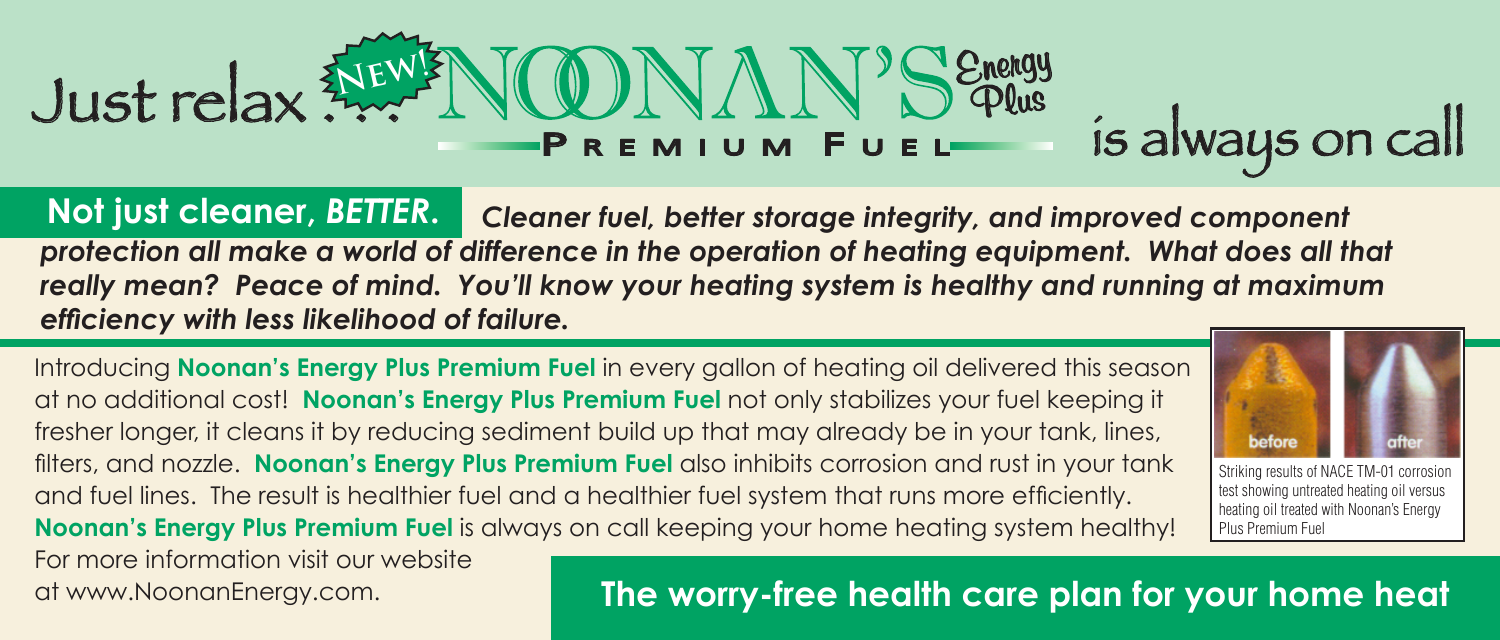## **Energy** Plus P R E M I U M F U E L Just relax . . . is always on call **New!**

**Not just cleaner,** *better***.** *Cleaner fuel, better storage integrity, and improved component protection all make a world of difference in the operation of heating equipment. What does all that really mean? Peace of mind. You'll know your heating system is healthy and running at maximum efficiency with less likelihood of failure.*

Introducing **Noonan's Energy Plus Premium Fuel** in every gallon of heating oil delivered this season at no additional cost! **Noonan's Energy Plus Premium Fuel** not only stabilizes your fuel keeping it fresher longer, it cleans it by reducing sediment build up that may already be in your tank, lines, filters, and nozzle. **Noonan's Energy Plus Premium Fuel** also inhibits corrosion and rust in your tank and fuel lines. The result is healthier fuel and a healthier fuel system that runs more efficiently. **Noonan's Energy Plus Premium Fuel** is always on call keeping your home heating system healthy! For more information visit our website

## at www.NoonanEnergy.com. **The worry-free health care plan for your home heat**



Striking results of NACE TM-01 corrosion test showing untreated heating oil versus heating oil treated with Noonan's Energy Plus Premium Fuel